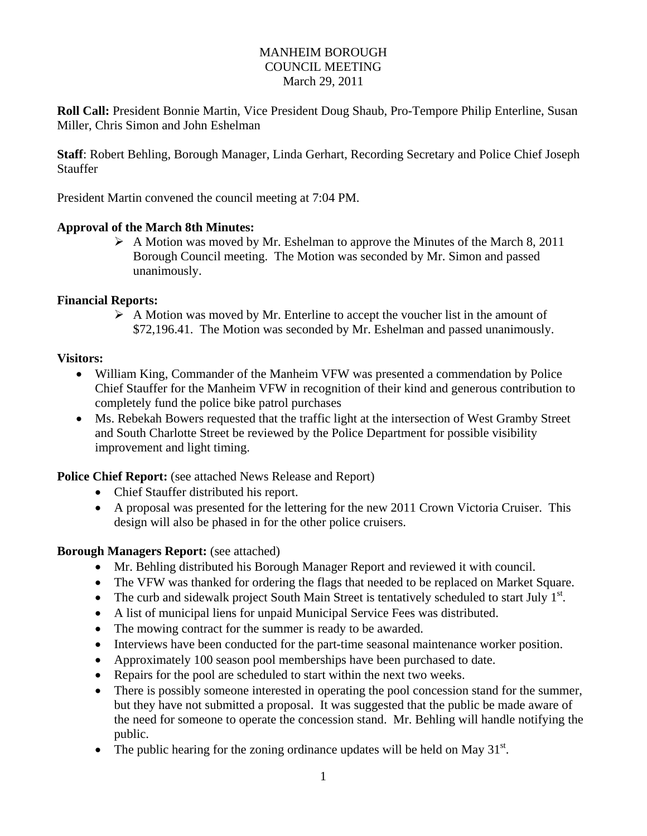#### MANHEIM BOROUGH COUNCIL MEETING March 29, 2011

**Roll Call:** President Bonnie Martin, Vice President Doug Shaub, Pro-Tempore Philip Enterline, Susan Miller, Chris Simon and John Eshelman

**Staff**: Robert Behling, Borough Manager, Linda Gerhart, Recording Secretary and Police Chief Joseph **Stauffer** 

President Martin convened the council meeting at 7:04 PM.

#### **Approval of the March 8th Minutes:**

 $\triangleright$  A Motion was moved by Mr. Eshelman to approve the Minutes of the March 8, 2011 Borough Council meeting. The Motion was seconded by Mr. Simon and passed unanimously.

#### **Financial Reports:**

 $\triangleright$  A Motion was moved by Mr. Enterline to accept the voucher list in the amount of \$72,196.41. The Motion was seconded by Mr. Eshelman and passed unanimously.

#### **Visitors:**

- William King, Commander of the Manheim VFW was presented a commendation by Police Chief Stauffer for the Manheim VFW in recognition of their kind and generous contribution to completely fund the police bike patrol purchases
- Ms. Rebekah Bowers requested that the traffic light at the intersection of West Gramby Street and South Charlotte Street be reviewed by the Police Department for possible visibility improvement and light timing.

**Police Chief Report:** (see attached News Release and Report)

- Chief Stauffer distributed his report.
- A proposal was presented for the lettering for the new 2011 Crown Victoria Cruiser. This design will also be phased in for the other police cruisers.

#### **Borough Managers Report:** (see attached)

- Mr. Behling distributed his Borough Manager Report and reviewed it with council.
- The VFW was thanked for ordering the flags that needed to be replaced on Market Square.
- The curb and sidewalk project South Main Street is tentatively scheduled to start July  $1<sup>st</sup>$ .
- A list of municipal liens for unpaid Municipal Service Fees was distributed.
- The mowing contract for the summer is ready to be awarded.
- Interviews have been conducted for the part-time seasonal maintenance worker position.
- Approximately 100 season pool memberships have been purchased to date.
- Repairs for the pool are scheduled to start within the next two weeks.
- There is possibly someone interested in operating the pool concession stand for the summer, but they have not submitted a proposal. It was suggested that the public be made aware of the need for someone to operate the concession stand. Mr. Behling will handle notifying the public.
- $\bullet$  The public hearing for the zoning ordinance updates will be held on May 31<sup>st</sup>.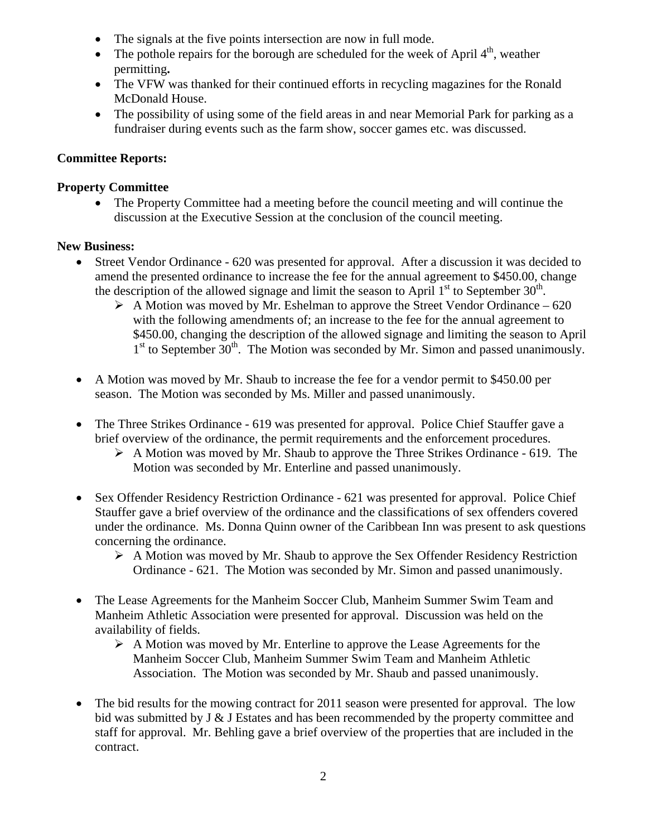- The signals at the five points intersection are now in full mode.
- The pothole repairs for the borough are scheduled for the week of April  $4<sup>th</sup>$ , weather permitting**.**
- The VFW was thanked for their continued efforts in recycling magazines for the Ronald McDonald House.
- The possibility of using some of the field areas in and near Memorial Park for parking as a fundraiser during events such as the farm show, soccer games etc. was discussed.

## **Committee Reports:**

## **Property Committee**

• The Property Committee had a meeting before the council meeting and will continue the discussion at the Executive Session at the conclusion of the council meeting.

## **New Business:**

- Street Vendor Ordinance 620 was presented for approval. After a discussion it was decided to amend the presented ordinance to increase the fee for the annual agreement to \$450.00, change the description of the allowed signage and limit the season to April  $1<sup>st</sup>$  to September 30<sup>th</sup>.
	- $\triangleright$  A Motion was moved by Mr. Eshelman to approve the Street Vendor Ordinance 620 with the following amendments of; an increase to the fee for the annual agreement to \$450.00, changing the description of the allowed signage and limiting the season to April  $1<sup>st</sup>$  to September  $30<sup>th</sup>$ . The Motion was seconded by Mr. Simon and passed unanimously.
- A Motion was moved by Mr. Shaub to increase the fee for a vendor permit to \$450.00 per season. The Motion was seconded by Ms. Miller and passed unanimously.
- The Three Strikes Ordinance 619 was presented for approval. Police Chief Stauffer gave a brief overview of the ordinance, the permit requirements and the enforcement procedures.
	- $\triangleright$  A Motion was moved by Mr. Shaub to approve the Three Strikes Ordinance 619. The Motion was seconded by Mr. Enterline and passed unanimously.
- Sex Offender Residency Restriction Ordinance 621 was presented for approval. Police Chief Stauffer gave a brief overview of the ordinance and the classifications of sex offenders covered under the ordinance. Ms. Donna Quinn owner of the Caribbean Inn was present to ask questions concerning the ordinance.
	- A Motion was moved by Mr. Shaub to approve the Sex Offender Residency Restriction Ordinance - 621. The Motion was seconded by Mr. Simon and passed unanimously.
- The Lease Agreements for the Manheim Soccer Club, Manheim Summer Swim Team and Manheim Athletic Association were presented for approval. Discussion was held on the availability of fields.
	- $\triangleright$  A Motion was moved by Mr. Enterline to approve the Lease Agreements for the Manheim Soccer Club, Manheim Summer Swim Team and Manheim Athletic Association. The Motion was seconded by Mr. Shaub and passed unanimously.
- The bid results for the mowing contract for 2011 season were presented for approval. The low bid was submitted by J & J Estates and has been recommended by the property committee and staff for approval. Mr. Behling gave a brief overview of the properties that are included in the contract.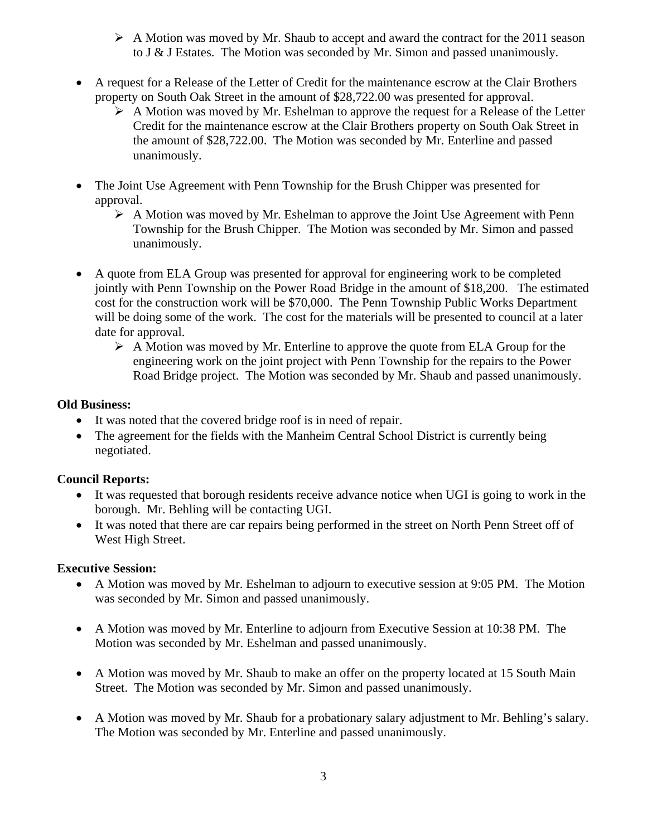- $\triangleright$  A Motion was moved by Mr. Shaub to accept and award the contract for the 2011 season to J & J Estates. The Motion was seconded by Mr. Simon and passed unanimously.
- A request for a Release of the Letter of Credit for the maintenance escrow at the Clair Brothers property on South Oak Street in the amount of \$28,722.00 was presented for approval.
	- $\triangleright$  A Motion was moved by Mr. Eshelman to approve the request for a Release of the Letter Credit for the maintenance escrow at the Clair Brothers property on South Oak Street in the amount of \$28,722.00. The Motion was seconded by Mr. Enterline and passed unanimously.
- The Joint Use Agreement with Penn Township for the Brush Chipper was presented for approval.
	- $\triangleright$  A Motion was moved by Mr. Eshelman to approve the Joint Use Agreement with Penn Township for the Brush Chipper. The Motion was seconded by Mr. Simon and passed unanimously.
- A quote from ELA Group was presented for approval for engineering work to be completed jointly with Penn Township on the Power Road Bridge in the amount of \$18,200. The estimated cost for the construction work will be \$70,000. The Penn Township Public Works Department will be doing some of the work. The cost for the materials will be presented to council at a later date for approval.
	- $\triangleright$  A Motion was moved by Mr. Enterline to approve the quote from ELA Group for the engineering work on the joint project with Penn Township for the repairs to the Power Road Bridge project. The Motion was seconded by Mr. Shaub and passed unanimously.

## **Old Business:**

- It was noted that the covered bridge roof is in need of repair.
- The agreement for the fields with the Manheim Central School District is currently being negotiated.

## **Council Reports:**

- It was requested that borough residents receive advance notice when UGI is going to work in the borough. Mr. Behling will be contacting UGI.
- It was noted that there are car repairs being performed in the street on North Penn Street off of West High Street.

## **Executive Session:**

- A Motion was moved by Mr. Eshelman to adjourn to executive session at 9:05 PM. The Motion was seconded by Mr. Simon and passed unanimously.
- A Motion was moved by Mr. Enterline to adjourn from Executive Session at 10:38 PM. The Motion was seconded by Mr. Eshelman and passed unanimously.
- A Motion was moved by Mr. Shaub to make an offer on the property located at 15 South Main Street. The Motion was seconded by Mr. Simon and passed unanimously.
- A Motion was moved by Mr. Shaub for a probationary salary adjustment to Mr. Behling's salary. The Motion was seconded by Mr. Enterline and passed unanimously.